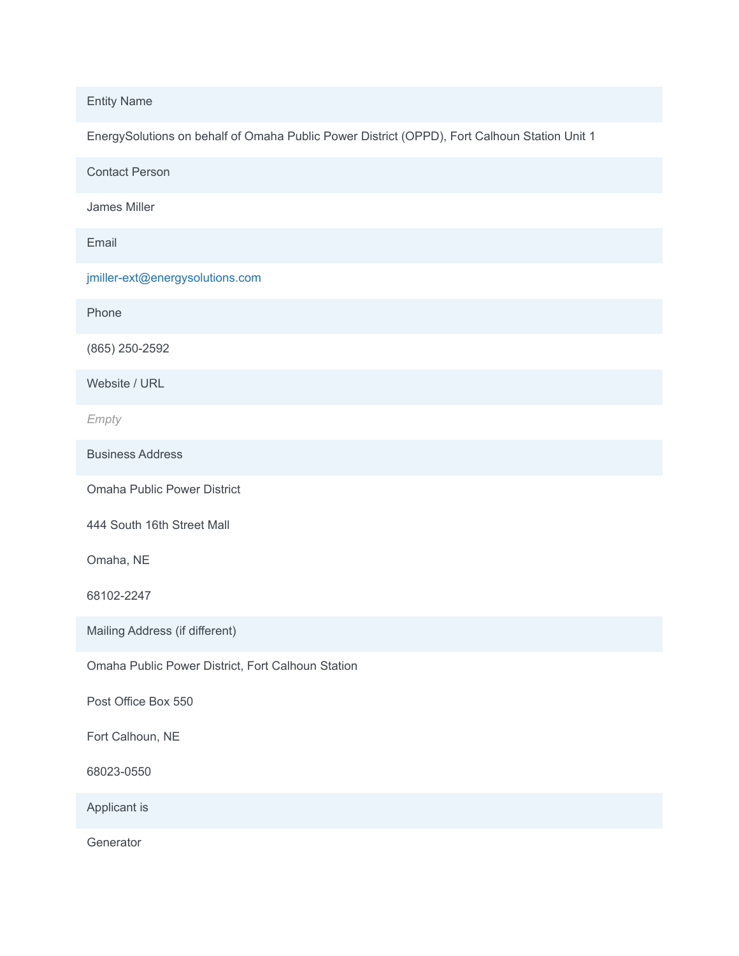Entity Name

EnergySolutions on behalf of Omaha Public Power District (OPPD), Fort Calhoun Station Unit 1

Contact Person

James Miller

Email

jmiller-ext@energysolutions.com

Phone

(865) 250-2592

Website / URL

*Empty*

Business Address

Omaha Public Power District

444 South 16th Street Mall

Omaha, NE

68102-2247

Mailing Address (if different)

Omaha Public Power District, Fort Calhoun Station

Post Office Box 550

Fort Calhoun, NE

68023-0550

Applicant is

**Generator**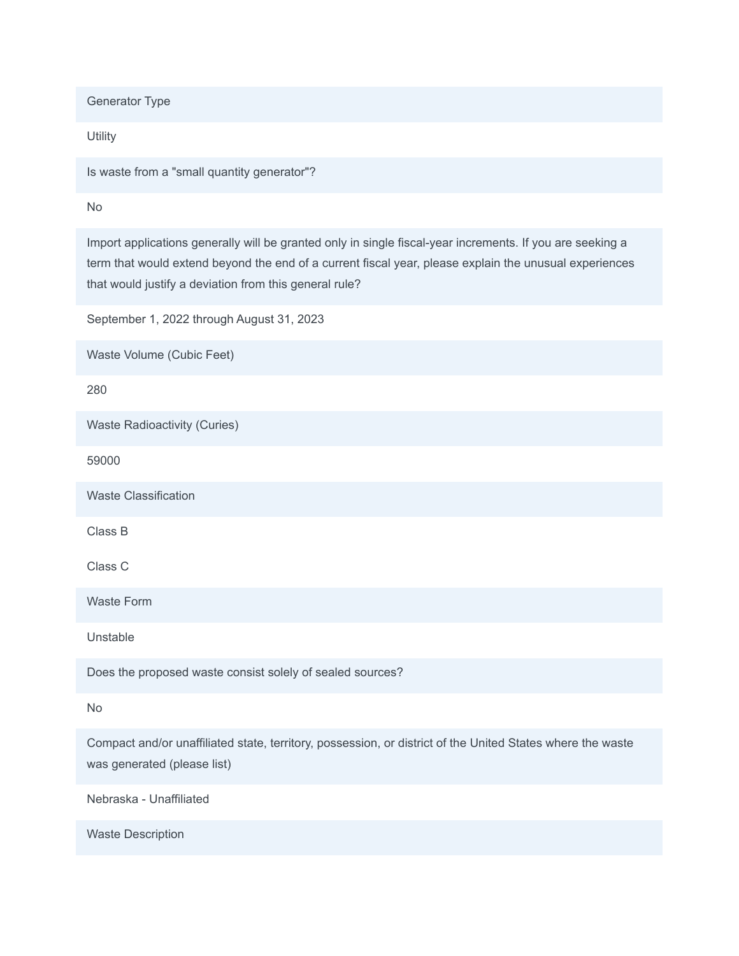Generator Type

**Utility** 

Is waste from a "small quantity generator"?

No

Import applications generally will be granted only in single fiscal-year increments. If you are seeking a term that would extend beyond the end of a current fiscal year, please explain the unusual experiences that would justify a deviation from this general rule?

September 1, 2022 through August 31, 2023

Waste Volume (Cubic Feet)

280

Waste Radioactivity (Curies)

59000

Waste Classification

Class B

Class C

Waste Form

Unstable

Does the proposed waste consist solely of sealed sources?

No

Compact and/or unaffiliated state, territory, possession, or district of the United States where the waste was generated (please list)

Nebraska - Unaffiliated

Waste Description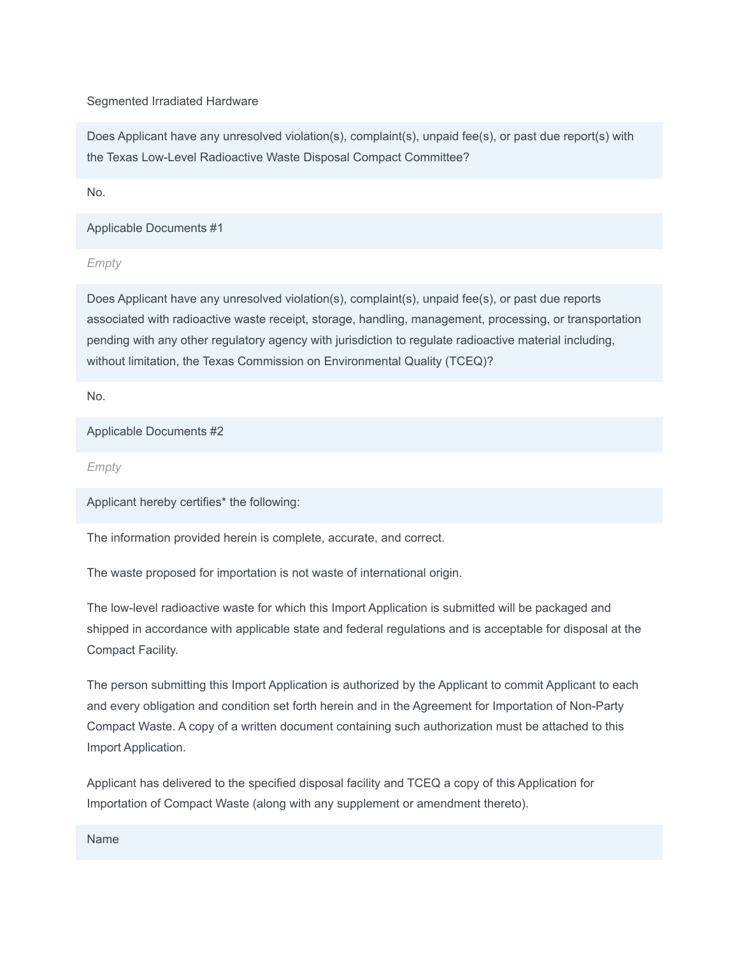## Segmented Irradiated Hardware

Does Applicant have any unresolved violation(s), complaint(s), unpaid fee(s), or past due report(s) with the Texas Low-Level Radioactive Waste Disposal Compact Committee?

No.

Applicable Documents #1

*Empty*

Does Applicant have any unresolved violation(s), complaint(s), unpaid fee(s), or past due reports associated with radioactive waste receipt, storage, handling, management, processing, or transportation pending with any other regulatory agency with jurisdiction to regulate radioactive material including, without limitation, the Texas Commission on Environmental Quality (TCEQ)?

No.

Applicable Documents #2

*Empty*

Applicant hereby certifies\* the following:

The information provided herein is complete, accurate, and correct.

The waste proposed for importation is not waste of international origin.

The low-level radioactive waste for which this Import Application is submitted will be packaged and shipped in accordance with applicable state and federal regulations and is acceptable for disposal at the Compact Facility.

The person submitting this Import Application is authorized by the Applicant to commit Applicant to each and every obligation and condition set forth herein and in the Agreement for Importation of Non-Party Compact Waste. A copy of a written document containing such authorization must be attached to this Import Application.

Applicant has delivered to the specified disposal facility and TCEQ a copy of this Application for Importation of Compact Waste (along with any supplement or amendment thereto).

Name